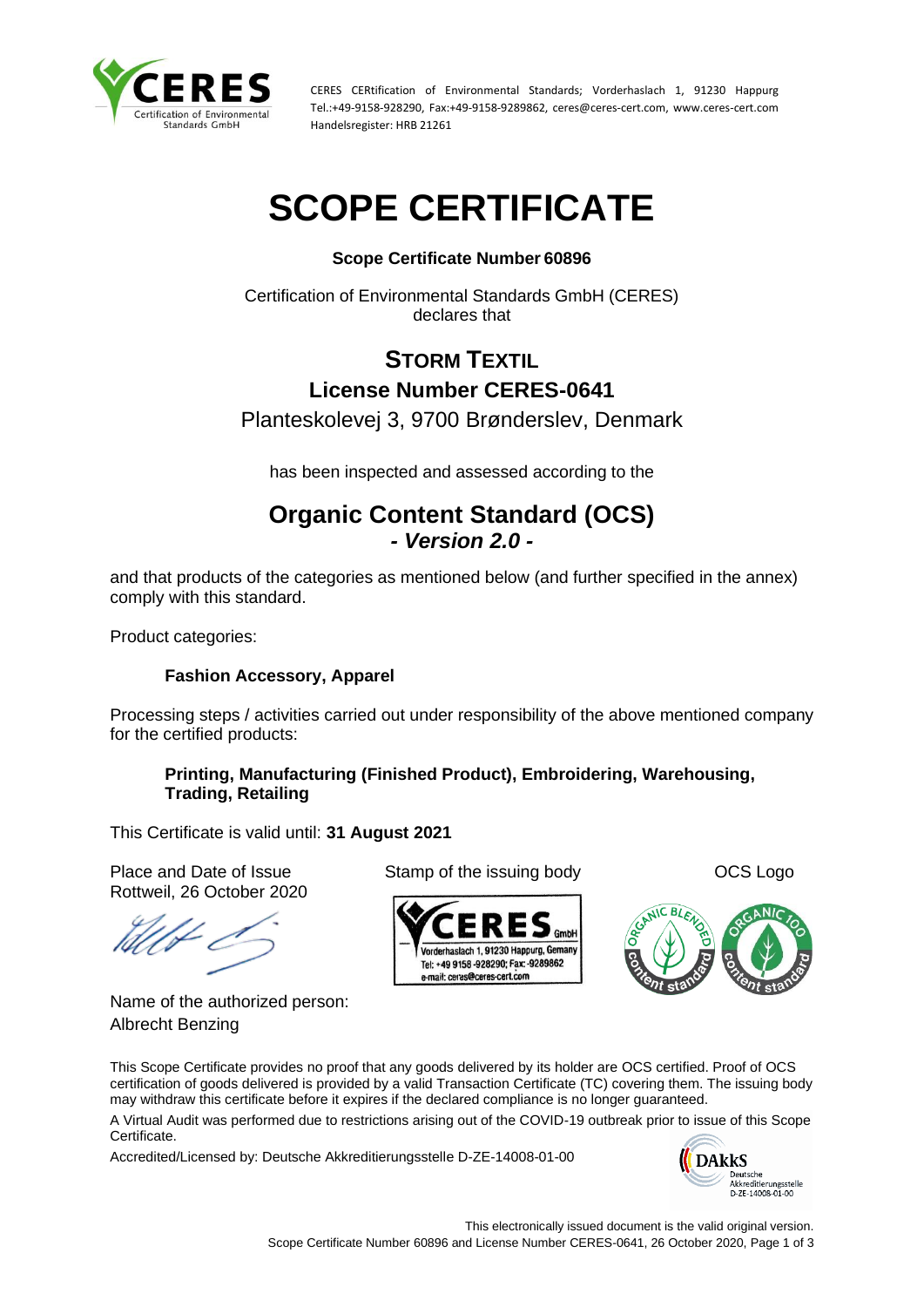

CERES CERtification of Environmental Standards; Vorderhaslach 1, 91230 Happurg Tel.:+49-9158-928290, Fax:+49-9158-9289862, ceres@ceres-cert.com, www.ceres-cert.com Handelsregister: HRB 21261

# **SCOPE CERTIFICATE**

## **Scope Certificate Number 60896**

Certification of Environmental Standards GmbH (CERES) declares that

# **STORM TEXTIL License Number CERES-0641**

Planteskolevej 3, 9700 Brønderslev, Denmark

has been inspected and assessed according to the

## **Organic Content Standard (OCS)** *- Version 2.0 -*

and that products of the categories as mentioned below (and further specified in the annex) comply with this standard.

Product categories:

### **Fashion Accessory, Apparel**

Processing steps / activities carried out under responsibility of the above mentioned company for the certified products:

#### **Printing, Manufacturing (Finished Product), Embroidering, Warehousing, Trading, Retailing**

This Certificate is valid until: **31 August 2021**

Place and Date of Issue Stamp of the issuing body **Stamp of the issuing body** OCS Logo Rottweil, 26 October 2020

Name of the authorized person: Albrecht Benzing





This Scope Certificate provides no proof that any goods delivered by its holder are OCS certified. Proof of OCS certification of goods delivered is provided by a valid Transaction Certificate (TC) covering them. The issuing body may withdraw this certificate before it expires if the declared compliance is no longer guaranteed.

A Virtual Audit was performed due to restrictions arising out of the COVID-19 outbreak prior to issue of this Scope Certificate.

Accredited/Licensed by: Deutsche Akkreditierungsstelle D-ZE-14008-01-00

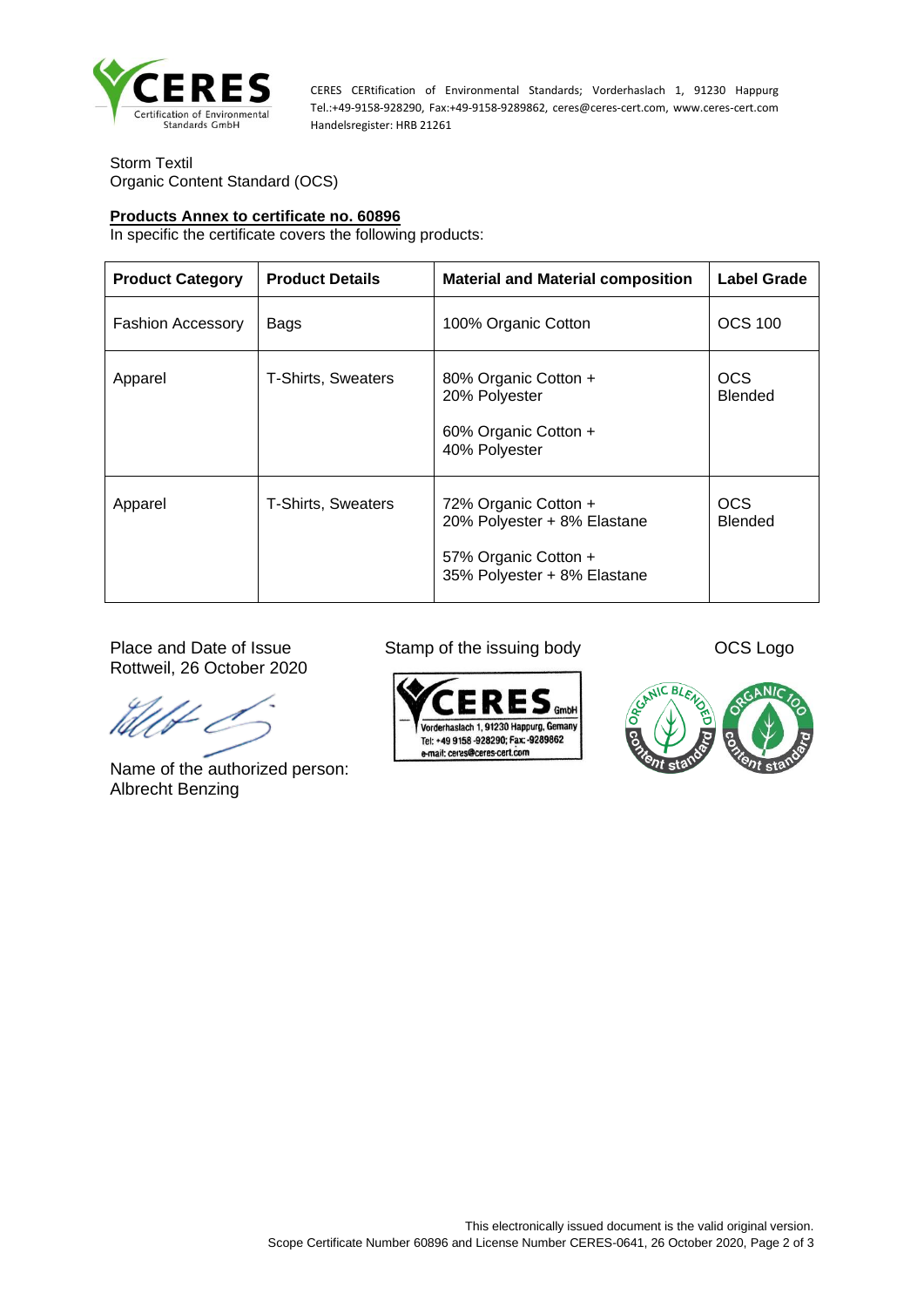

CERES CERtification of Environmental Standards; Vorderhaslach 1, 91230 Happurg Tel.:+49-9158-928290, Fax:+49-9158-9289862, ceres@ceres-cert.com, www.ceres-cert.com Handelsregister: HRB 21261

Storm Textil Organic Content Standard (OCS)

#### **Products Annex to certificate no. 60896**

In specific the certificate covers the following products:

| <b>Product Category</b>  | <b>Product Details</b>    | <b>Material and Material composition</b>                                                                   | <b>Label Grade</b>           |
|--------------------------|---------------------------|------------------------------------------------------------------------------------------------------------|------------------------------|
| <b>Fashion Accessory</b> | Bags                      | 100% Organic Cotton                                                                                        | <b>OCS 100</b>               |
| Apparel                  | <b>T-Shirts, Sweaters</b> | 80% Organic Cotton +<br>20% Polyester<br>60% Organic Cotton +<br>40% Polyester                             | <b>OCS</b><br><b>Blended</b> |
| Apparel                  | <b>T-Shirts, Sweaters</b> | 72% Organic Cotton +<br>20% Polyester + 8% Elastane<br>57% Organic Cotton +<br>35% Polyester + 8% Elastane | <b>OCS</b><br><b>Blended</b> |

Place and Date of Issue Stamp of the issuing body OCS Logo Rottweil, 26 October 2020

Name of the authorized person: Albrecht Benzing